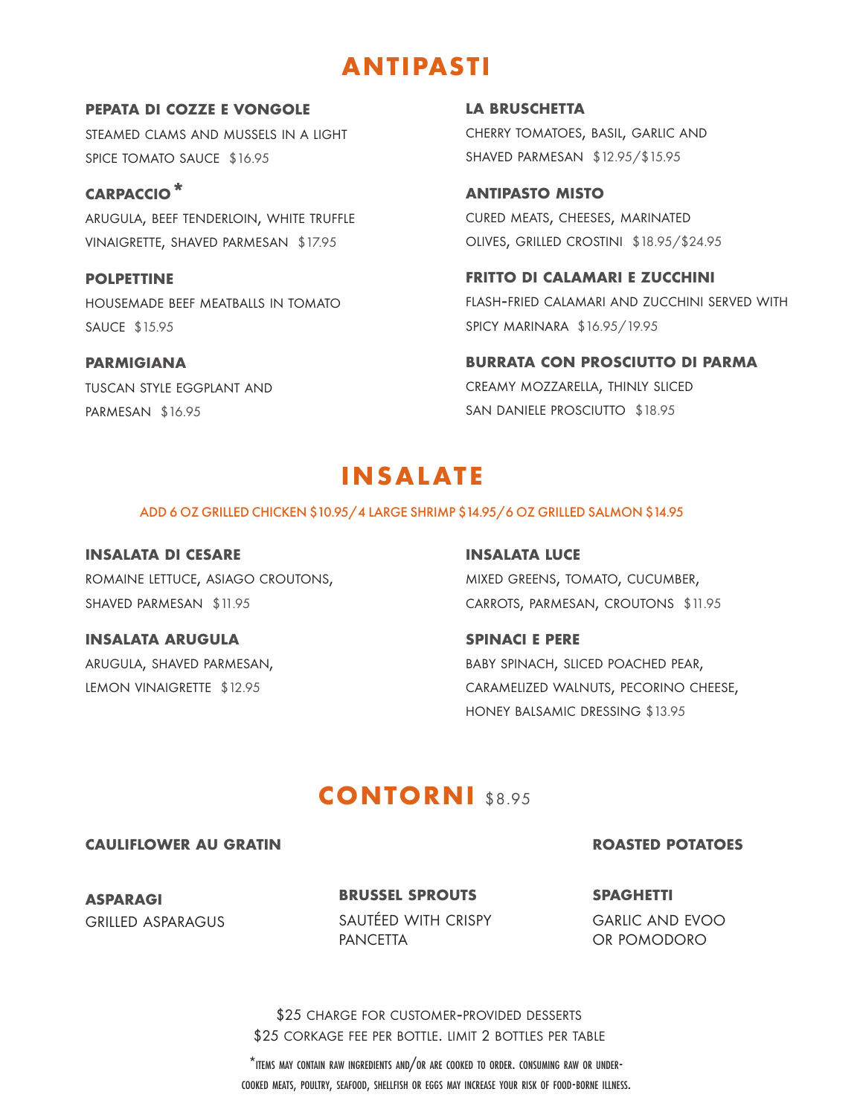# **ANTIPASTI**

**pepata di cozze e vongole** steamed clams and mussels in a light spice tomato sauce \$16.95

**carpaccio\*** arugula, beef tenderloin, white truffle vinaigrette, shaved parmesan \$17.95

**polpettine** housemade beef meatballs in tomato sauce \$15.95

**parmigiana** tuscan style eggplant and parmesan \$16.95

**la bruschetta** cherry tomatoes, basil, garlic and shaved parmesan \$12.95/\$15.95

**antipasto misto** cured meats, cheeses, marinated olives, grilled crostini \$18.95/\$24.95

**fritto di calamari e zucchini** flash-fried calamari and zucchini served with spicy marinara \$16.95/19.95

**burrata con prosciutto di parma** creamy mozzarella, thinly sliced san daniele prosciutto \$18.95

# **INSALATE**

### ADD 6 OZ GRILLED CHICKEN \$10.95/4 LARGE SHRIMP \$14.95/6 OZ GRILLED SALMON \$14.95

**insalata di cesare** romaine lettuce, asiago croutons, shaved parmesan \$11.95

**insalata arugula** arugula, shaved parmesan, lemon vinaigrette \$12.95

**insalata luce**

mixed greens, tomato, cucumber, carrots, parmesan, croutons \$11.95

**spinaci e pere** baby spinach, sliced poached pear, caramelized walnuts, pecorino cheese, honey balsamic dressing \$13.95

# **CONTORNI** \$8.95

**cauliflower au gratin**

### **roasted potatoes**

**asparagi** grilled asparagus **brussel sprouts** sautéed with crispy **PANCETTA** 

**spaghetti** garlic and evoo or pomodoro

\$25 CORKAGE FEE PER BOTTLE. LIMIT 2 BOTTLES PER TABLE \$25 charge for customer-provided desserts

\*items may contain raw ingredients and/or are cooked to order. consuming raw or undercooked meats, poultry, seafood, shellfish or eggs may increase your risk of food-borne illness.